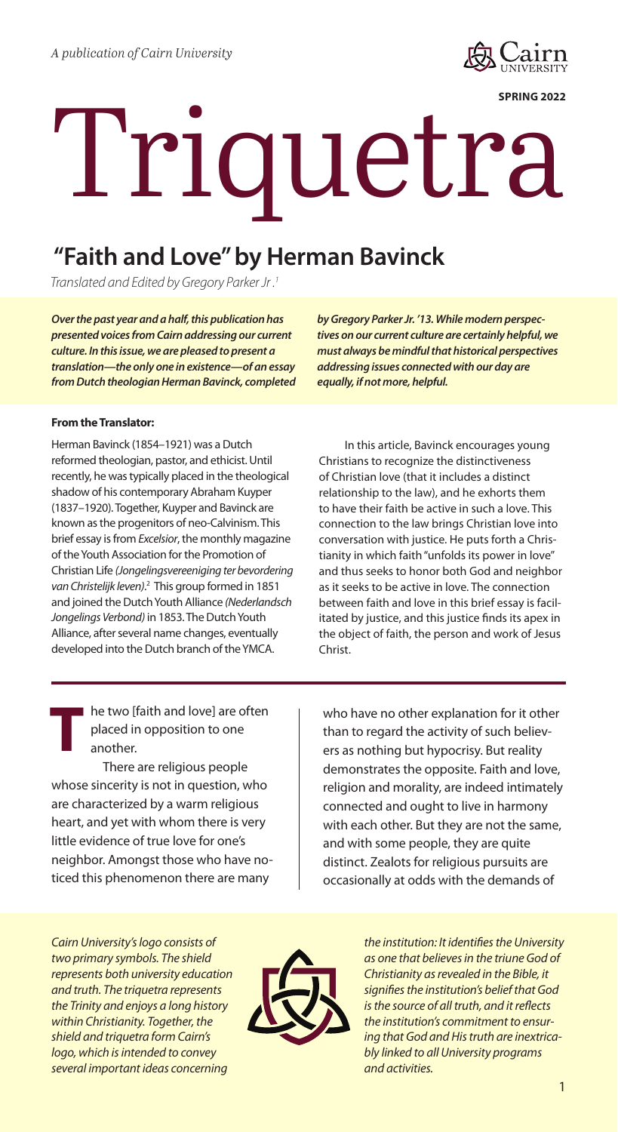

**SPRING 2022**

# Triquetra

## **"Faith and Love" by Herman Bavinck**

*Translated and Edited by Gregory Parker Jr .1*

*Over the past year and a half, this publication has presented voices from Cairn addressing our current culture. In this issue, we are pleased to present a translation—the only one in existence—of an essay from Dutch theologian Herman Bavinck, completed* 

#### **From the Translator:**

Herman Bavinck (1854–1921) was a Dutch reformed theologian, pastor, and ethicist. Until recently, he was typically placed in the theological shadow of his contemporary Abraham Kuyper (1837–1920). Together, Kuyper and Bavinck are known as the progenitors of neo-Calvinism. This brief essay is from *Excelsior*, the monthly magazine of the Youth Association for the Promotion of Christian Life *(Jongelingsvereeniging ter bevordering van Christelijk leven)*. 2 This group formed in 1851 and joined the Dutch Youth Alliance *(Nederlandsch Jongelings Verbond)* in 1853. The Dutch Youth Alliance, after several name changes, eventually developed into the Dutch branch of the YMCA.

*by Gregory Parker Jr. '13. While modern perspectives on our current culture are certainly helpful, we must always be mindful that historical perspectives addressing issues connected with our day are equally, if not more, helpful.*

In this article, Bavinck encourages young Christians to recognize the distinctiveness of Christian love (that it includes a distinct relationship to the law), and he exhorts them to have their faith be active in such a love. This connection to the law brings Christian love into conversation with justice. He puts forth a Christianity in which faith "unfolds its power in love" and thus seeks to honor both God and neighbor as it seeks to be active in love. The connection between faith and love in this brief essay is facilitated by justice, and this justice finds its apex in the object of faith, the person and work of Jesus Christ.

he two [faith and love] are often placed in opposition to one another.

There are religious people whose sincerity is not in question, who are characterized by a warm religious heart, and yet with whom there is very little evidence of true love for one's neighbor. Amongst those who have noticed this phenomenon there are many **T**

who have no other explanation for it other than to regard the activity of such believers as nothing but hypocrisy. But reality demonstrates the opposite. Faith and love, religion and morality, are indeed intimately connected and ought to live in harmony with each other. But they are not the same, and with some people, they are quite distinct. Zealots for religious pursuits are occasionally at odds with the demands of

*Cairn University's logo consists of two primary symbols. The shield represents both university education and truth. The triquetra represents the Trinity and enjoys a long history within Christianity. Together, the shield and triquetra form Cairn's logo, which is intended to convey several important ideas concerning* 



*the institution: It identifies the University as one that believes in the triune God of Christianity as revealed in the Bible, it signifies the institution's belief that God is the source of all truth, and it reflects the institution's commitment to ensuring that God and His truth are inextricably linked to all University programs and activities.*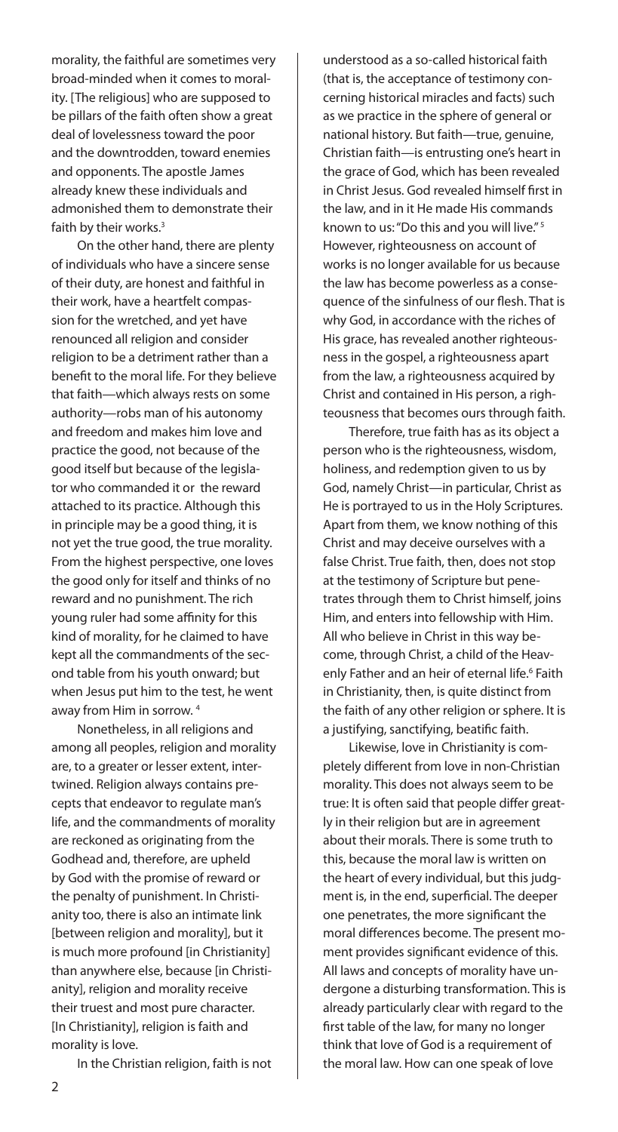morality, the faithful are sometimes very broad-minded when it comes to morality. [The religious] who are supposed to be pillars of the faith often show a great deal of lovelessness toward the poor and the downtrodden, toward enemies and opponents. The apostle James already knew these individuals and admonished them to demonstrate their faith by their works.<sup>3</sup>

On the other hand, there are plenty of individuals who have a sincere sense of their duty, are honest and faithful in their work, have a heartfelt compassion for the wretched, and yet have renounced all religion and consider religion to be a detriment rather than a benefit to the moral life. For they believe that faith—which always rests on some authority—robs man of his autonomy and freedom and makes him love and practice the good, not because of the good itself but because of the legislator who commanded it or the reward attached to its practice. Although this in principle may be a good thing, it is not yet the true good, the true morality. From the highest perspective, one loves the good only for itself and thinks of no reward and no punishment. The rich young ruler had some affinity for this kind of morality, for he claimed to have kept all the commandments of the second table from his youth onward; but when Jesus put him to the test, he went away from Him in sorrow. 4

Nonetheless, in all religions and among all peoples, religion and morality are, to a greater or lesser extent, intertwined. Religion always contains precepts that endeavor to regulate man's life, and the commandments of morality are reckoned as originating from the Godhead and, therefore, are upheld by God with the promise of reward or the penalty of punishment. In Christianity too, there is also an intimate link [between religion and morality], but it is much more profound [in Christianity] than anywhere else, because [in Christianity], religion and morality receive their truest and most pure character. [In Christianity], religion is faith and morality is love.

In the Christian religion, faith is not

understood as a so-called historical faith (that is, the acceptance of testimony concerning historical miracles and facts) such as we practice in the sphere of general or national history. But faith—true, genuine, Christian faith—is entrusting one's heart in the grace of God, which has been revealed in Christ Jesus. God revealed himself first in the law, and in it He made His commands known to us: "Do this and you will live." 5 However, righteousness on account of works is no longer available for us because the law has become powerless as a consequence of the sinfulness of our flesh. That is why God, in accordance with the riches of His grace, has revealed another righteousness in the gospel, a righteousness apart from the law, a righteousness acquired by Christ and contained in His person, a righteousness that becomes ours through faith.

Therefore, true faith has as its object a person who is the righteousness, wisdom, holiness, and redemption given to us by God, namely Christ—in particular, Christ as He is portrayed to us in the Holy Scriptures. Apart from them, we know nothing of this Christ and may deceive ourselves with a false Christ. True faith, then, does not stop at the testimony of Scripture but penetrates through them to Christ himself, joins Him, and enters into fellowship with Him. All who believe in Christ in this way become, through Christ, a child of the Heavenly Father and an heir of eternal life.<sup>6</sup> Faith in Christianity, then, is quite distinct from the faith of any other religion or sphere. It is a justifying, sanctifying, beatific faith.

Likewise, love in Christianity is completely different from love in non-Christian morality. This does not always seem to be true: It is often said that people differ greatly in their religion but are in agreement about their morals. There is some truth to this, because the moral law is written on the heart of every individual, but this judgment is, in the end, superficial. The deeper one penetrates, the more significant the moral differences become. The present moment provides significant evidence of this. All laws and concepts of morality have undergone a disturbing transformation. This is already particularly clear with regard to the first table of the law, for many no longer think that love of God is a requirement of the moral law. How can one speak of love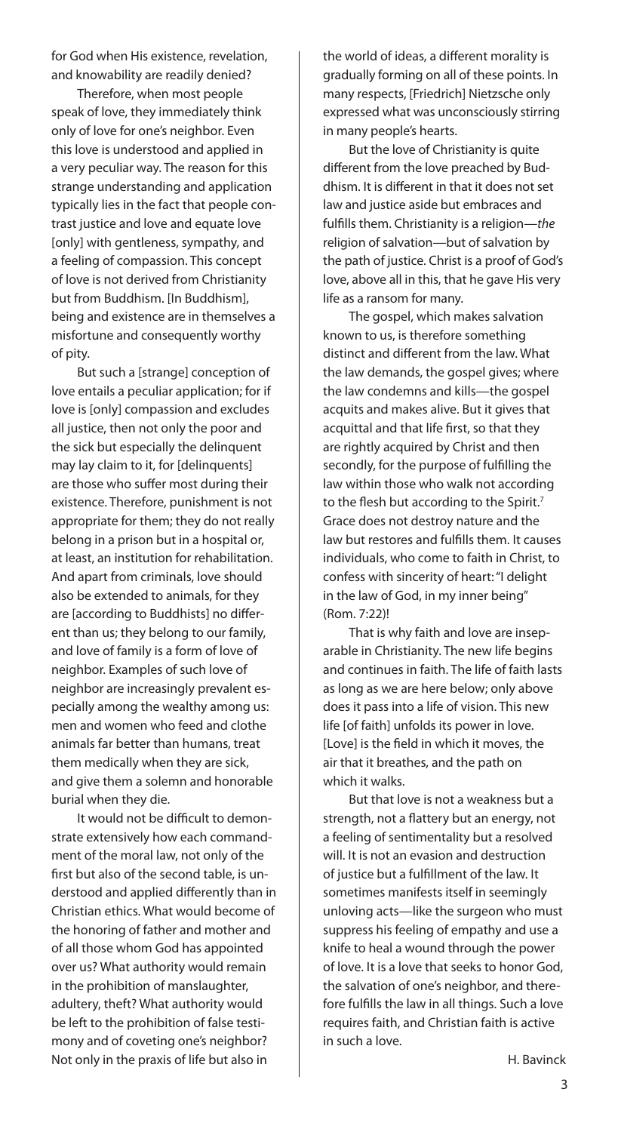for God when His existence, revelation, and knowability are readily denied?

Therefore, when most people speak of love, they immediately think only of love for one's neighbor. Even this love is understood and applied in a very peculiar way. The reason for this strange understanding and application typically lies in the fact that people contrast justice and love and equate love [only] with gentleness, sympathy, and a feeling of compassion. This concept of love is not derived from Christianity but from Buddhism. [In Buddhism], being and existence are in themselves a misfortune and consequently worthy of pity.

But such a [strange] conception of love entails a peculiar application; for if love is [only] compassion and excludes all justice, then not only the poor and the sick but especially the delinquent may lay claim to it, for [delinquents] are those who suffer most during their existence. Therefore, punishment is not appropriate for them; they do not really belong in a prison but in a hospital or, at least, an institution for rehabilitation. And apart from criminals, love should also be extended to animals, for they are [according to Buddhists] no different than us; they belong to our family, and love of family is a form of love of neighbor. Examples of such love of neighbor are increasingly prevalent especially among the wealthy among us: men and women who feed and clothe animals far better than humans, treat them medically when they are sick, and give them a solemn and honorable burial when they die.

It would not be difficult to demonstrate extensively how each commandment of the moral law, not only of the first but also of the second table, is understood and applied differently than in Christian ethics. What would become of the honoring of father and mother and of all those whom God has appointed over us? What authority would remain in the prohibition of manslaughter, adultery, theft? What authority would be left to the prohibition of false testimony and of coveting one's neighbor? Not only in the praxis of life but also in

the world of ideas, a different morality is gradually forming on all of these points. In many respects, [Friedrich] Nietzsche only expressed what was unconsciously stirring in many people's hearts.

But the love of Christianity is quite different from the love preached by Buddhism. It is different in that it does not set law and justice aside but embraces and fulfills them. Christianity is a religion—*the*  religion of salvation—but of salvation by the path of justice. Christ is a proof of God's love, above all in this, that he gave His very life as a ransom for many.

The gospel, which makes salvation known to us, is therefore something distinct and different from the law. What the law demands, the gospel gives; where the law condemns and kills—the gospel acquits and makes alive. But it gives that acquittal and that life first, so that they are rightly acquired by Christ and then secondly, for the purpose of fulfilling the law within those who walk not according to the flesh but according to the Spirit.<sup>7</sup> Grace does not destroy nature and the law but restores and fulfills them. It causes individuals, who come to faith in Christ, to confess with sincerity of heart: "I delight in the law of God, in my inner being" (Rom. 7:22)!

That is why faith and love are inseparable in Christianity. The new life begins and continues in faith. The life of faith lasts as long as we are here below; only above does it pass into a life of vision. This new life [of faith] unfolds its power in love. [Love] is the field in which it moves, the air that it breathes, and the path on which it walks.

But that love is not a weakness but a strength, not a flattery but an energy, not a feeling of sentimentality but a resolved will. It is not an evasion and destruction of justice but a fulfillment of the law. It sometimes manifests itself in seemingly unloving acts—like the surgeon who must suppress his feeling of empathy and use a knife to heal a wound through the power of love. It is a love that seeks to honor God, the salvation of one's neighbor, and therefore fulfills the law in all things. Such a love requires faith, and Christian faith is active in such a love.

H. Bavinck